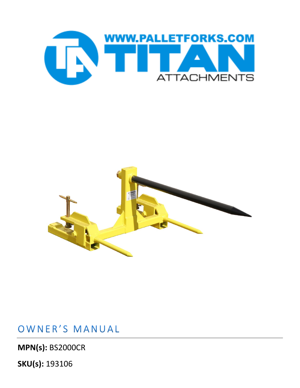



## OWNER'S MANUAL

**MPN(s):** BS2000CR

**SKU(s):** 193106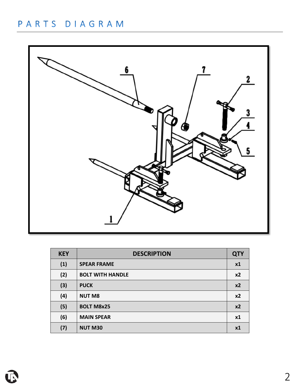## PARTS DIAGRAM



| <b>KEY</b> | <b>DESCRIPTION</b>      | <b>QTY</b>     |
|------------|-------------------------|----------------|
| (1)        | <b>SPEAR FRAME</b>      | x1             |
| (2)        | <b>BOLT WITH HANDLE</b> | x <sub>2</sub> |
| (3)        | <b>PUCK</b>             | x <sub>2</sub> |
| (4)        | <b>NUT M8</b>           | x <sub>2</sub> |
| (5)        | <b>BOLT M8x25</b>       | x <sub>2</sub> |
| (6)        | <b>MAIN SPEAR</b>       | x1             |
| (7)        | <b>NUT M30</b>          | <b>x1</b>      |